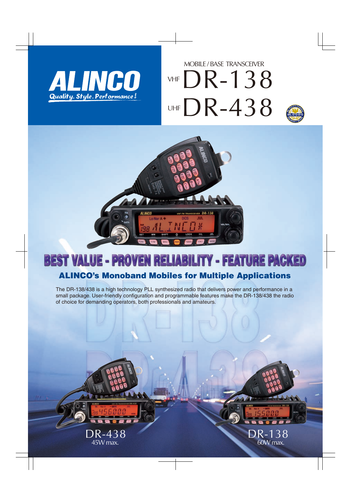

## DR-138 DR-438 MOBILE / BASE TRANSCEIVER VHF  $UHF$   $\blacktriangleright$   $K = \mathcal{L}$  $\blacktriangleright$   $\blacktriangle$   $\blacktriangle$   $\blacktriangle$   $\blacktriangle$   $\blacktriangle$



DR-138

 $60W$  max.



# **BEST VALUE - PROVEN RELIABILITY - FEATURE PACKED**

### ALINCO's Monoband Mobiles for Multiple Applications

The DR-138/438 is a high technology PLL synthesized radio that delivers power and performance in a small package. User-friendly configuration and programmable features make the DR-138/438 the radio of choice for demanding operators, both professionals and amateurs.